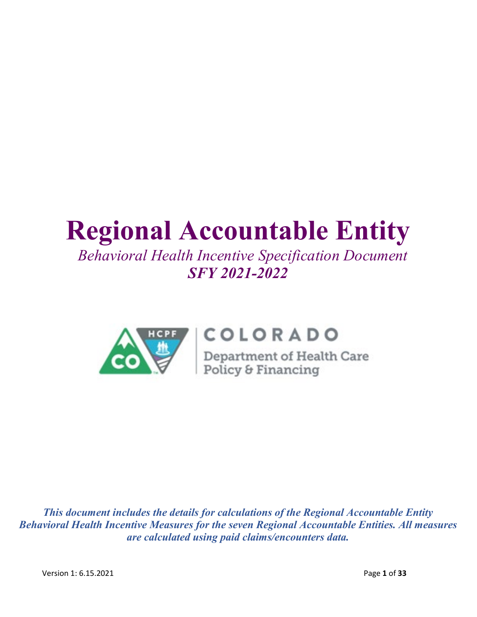# **Regional Accountable Entity**

# *Behavioral Health Incentive Specification Document SFY 2021-2022*



# COLORADO

**COLORADO**<br>Department of Health Care<br>Policy & Financing

*This document includes the details for calculations of the Regional Accountable Entity Behavioral Health Incentive Measures for the seven Regional Accountable Entities. All measures are calculated using paid claims/encounters data.*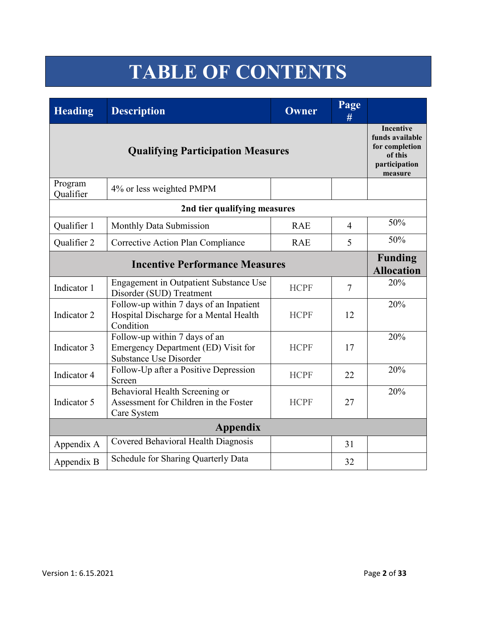# **TABLE OF CONTENTS**

| <b>Heading</b>       | <b>Description</b>                                                                             | Owner       | Page<br>#      |     |
|----------------------|------------------------------------------------------------------------------------------------|-------------|----------------|-----|
|                      | Incentive<br>funds available<br>for completion<br>of this<br>participation<br>measure          |             |                |     |
| Program<br>Qualifier | 4% or less weighted PMPM                                                                       |             |                |     |
|                      | 2nd tier qualifying measures                                                                   |             |                |     |
| Qualifier 1          | Monthly Data Submission                                                                        | <b>RAE</b>  | $\overline{4}$ | 50% |
| Qualifier 2          | Corrective Action Plan Compliance                                                              | <b>RAE</b>  | 5              | 50% |
|                      | <b>Funding</b><br><b>Allocation</b>                                                            |             |                |     |
| Indicator 1          | <b>Engagement in Outpatient Substance Use</b><br>Disorder (SUD) Treatment                      | <b>HCPF</b> | $\overline{7}$ | 20% |
| Indicator 2          | Follow-up within 7 days of an Inpatient<br>Hospital Discharge for a Mental Health<br>Condition | <b>HCPF</b> | 12             | 20% |
| Indicator 3          | Follow-up within 7 days of an<br>Emergency Department (ED) Visit for<br>Substance Use Disorder | <b>HCPF</b> | 17             | 20% |
| Indicator 4          | Follow-Up after a Positive Depression<br>Screen                                                | <b>HCPF</b> | 22             | 20% |
| Indicator 5          | Behavioral Health Screening or<br>Assessment for Children in the Foster<br>Care System         | <b>HCPF</b> | 27             | 20% |
|                      | <b>Appendix</b>                                                                                |             |                |     |
| Appendix A           | Covered Behavioral Health Diagnosis                                                            |             | 31             |     |
| Appendix B           | Schedule for Sharing Quarterly Data                                                            |             | 32             |     |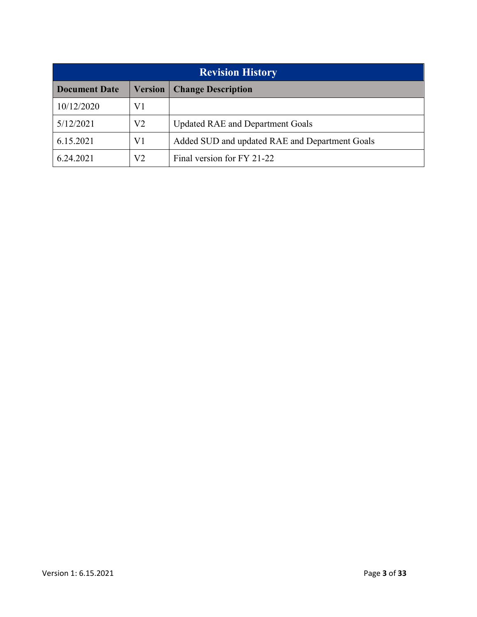| <b>Revision History</b> |                |                                                |  |  |  |
|-------------------------|----------------|------------------------------------------------|--|--|--|
| <b>Document Date</b>    | <b>Version</b> | <b>Change Description</b>                      |  |  |  |
| 10/12/2020              | V1             |                                                |  |  |  |
| 5/12/2021               | V2             | <b>Updated RAE and Department Goals</b>        |  |  |  |
| 6.15.2021               | V1             | Added SUD and updated RAE and Department Goals |  |  |  |
| 6.24.2021               | V2             | Final version for FY 21-22                     |  |  |  |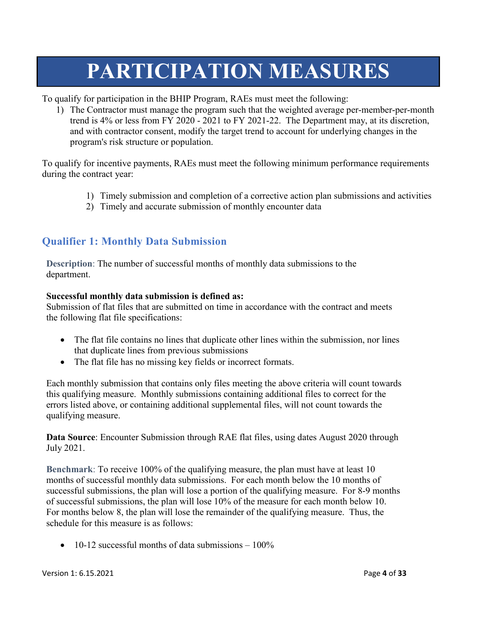# **PARTICIPATION MEASURES**

To qualify for participation in the BHIP Program, RAEs must meet the following:

1) The Contractor must manage the program such that the weighted average per-member-per-month trend is 4% or less from FY 2020 - 2021 to FY 2021-22. The Department may, at its discretion, and with contractor consent, modify the target trend to account for underlying changes in the program's risk structure or population.

To qualify for incentive payments, RAEs must meet the following minimum performance requirements during the contract year:

- 1) Timely submission and completion of a corrective action plan submissions and activities
- 2) Timely and accurate submission of monthly encounter data

## **Qualifier 1: Monthly Data Submission**

**Description**: The number of successful months of monthly data submissions to the department.

### **Successful monthly data submission is defined as:**

Submission of flat files that are submitted on time in accordance with the contract and meets the following flat file specifications:

- The flat file contains no lines that duplicate other lines within the submission, nor lines that duplicate lines from previous submissions
- The flat file has no missing key fields or incorrect formats.

Each monthly submission that contains only files meeting the above criteria will count towards this qualifying measure. Monthly submissions containing additional files to correct for the errors listed above, or containing additional supplemental files, will not count towards the qualifying measure.

**Data Source**: Encounter Submission through RAE flat files, using dates August 2020 through July 2021.

**Benchmark**: To receive 100% of the qualifying measure, the plan must have at least 10 months of successful monthly data submissions. For each month below the 10 months of successful submissions, the plan will lose a portion of the qualifying measure. For 8-9 months of successful submissions, the plan will lose 10% of the measure for each month below 10. For months below 8, the plan will lose the remainder of the qualifying measure. Thus, the schedule for this measure is as follows:

• 10-12 successful months of data submissions  $-100\%$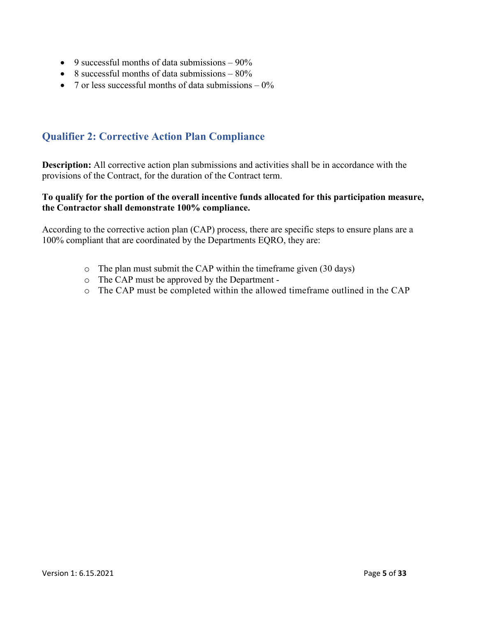- 9 successful months of data submissions  $-90\%$
- 8 successful months of data submissions  $-80\%$
- 7 or less successful months of data submissions  $-0\%$

## **Qualifier 2: Corrective Action Plan Compliance**

**Description:** All corrective action plan submissions and activities shall be in accordance with the provisions of the Contract, for the duration of the Contract term.

### **To qualify for the portion of the overall incentive funds allocated for this participation measure, the Contractor shall demonstrate 100% compliance.**

According to the corrective action plan (CAP) process, there are specific steps to ensure plans are a 100% compliant that are coordinated by the Departments EQRO, they are:

- o The plan must submit the CAP within the timeframe given (30 days)
- o The CAP must be approved by the Department -
- o The CAP must be completed within the allowed timeframe outlined in the CAP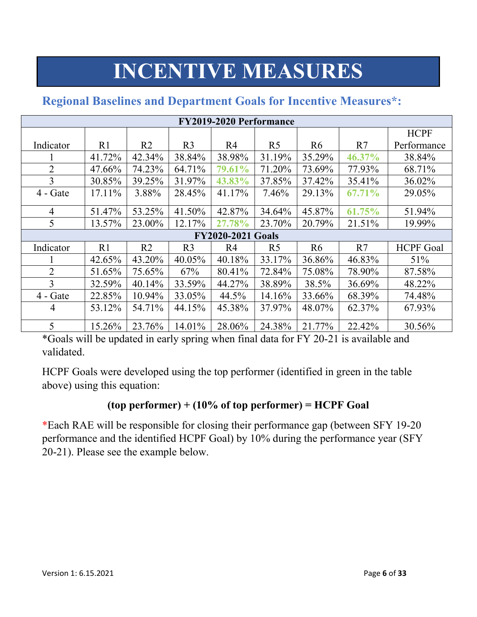# **INCENTIVE MEASURES**

| <b>FY2019-2020 Performance</b> |         |                |                |                          |                |                |        |                  |
|--------------------------------|---------|----------------|----------------|--------------------------|----------------|----------------|--------|------------------|
|                                |         |                |                |                          |                |                |        | <b>HCPF</b>      |
| Indicator                      | R1      | R <sub>2</sub> | R <sub>3</sub> | R <sub>4</sub>           | R <sub>5</sub> | R <sub>6</sub> | R7     | Performance      |
|                                | 41.72%  | 42.34%         | 38.84%         | 38.98%                   | 31.19%         | 35.29%         | 46.37% | 38.84%           |
| $\overline{2}$                 | 47.66%  | 74.23%         | 64.71%         | 79.61%                   | 71.20%         | 73.69%         | 77.93% | 68.71%           |
| 3                              | 30.85%  | 39.25%         | 31.97%         | 43.83%                   | 37.85%         | 37.42%         | 35.41% | 36.02%           |
| $4 - Gate$                     | 17.11\% | 3.88%          | 28.45%         | 41.17%                   | 7.46%          | 29.13%         | 67.71% | 29.05%           |
| $\overline{4}$                 | 51.47%  | 53.25%         | 41.50%         | 42.87%                   | 34.64%         | 45.87%         | 61.75% | 51.94%           |
| 5                              | 13.57%  | 23.00%         | 12.17%         | 27.78%                   | 23.70%         | 20.79%         | 21.51% | 19.99%           |
|                                |         |                |                | <b>FY2020-2021 Goals</b> |                |                |        |                  |
| Indicator                      | R1      | R <sub>2</sub> | R <sub>3</sub> | R <sub>4</sub>           | R <sub>5</sub> | R <sub>6</sub> | R7     | <b>HCPF</b> Goal |
|                                | 42.65%  | 43.20%         | 40.05%         | 40.18%                   | 33.17%         | 36.86%         | 46.83% | 51%              |
| $\overline{2}$                 | 51.65%  | 75.65%         | 67%            | 80.41%                   | 72.84%         | 75.08%         | 78.90% | 87.58%           |
| 3                              | 32.59%  | 40.14%         | 33.59%         | 44.27%                   | 38.89%         | 38.5%          | 36.69% | 48.22%           |
| $4 - Gate$                     | 22.85%  | 10.94%         | 33.05%         | 44.5%                    | 14.16%         | 33.66%         | 68.39% | 74.48%           |
| 4                              | 53.12%  | 54.71%         | 44.15%         | 45.38%                   | 37.97%         | 48.07%         | 62.37% | 67.93%           |
| 5                              | 15.26%  | 23.76%         | 14.01%         | 28.06%                   | 24.38%         | 21.77%         | 22.42% | 30.56%           |

# **Regional Baselines and Department Goals for Incentive Measures\*:**

\*Goals will be updated in early spring when final data for FY 20-21 is available and validated.

HCPF Goals were developed using the top performer (identified in green in the table above) using this equation:

## **(top performer) + (10% of top performer) = HCPF Goal**

\*Each RAE will be responsible for closing their performance gap (between SFY 19-20 performance and the identified HCPF Goal) by 10% during the performance year (SFY 20-21). Please see the example below.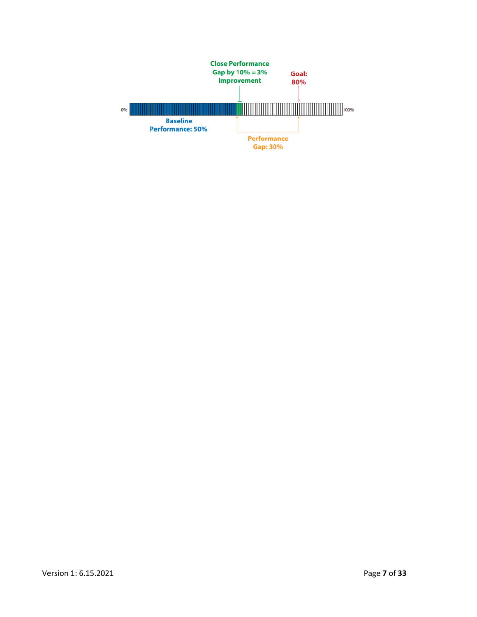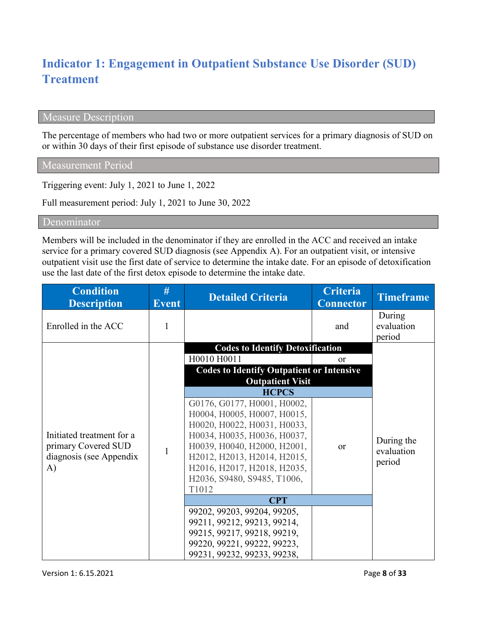# **Indicator 1: Engagement in Outpatient Substance Use Disorder (SUD) Treatment**

### Measure Description

The percentage of members who had two or more outpatient services for a primary diagnosis of SUD on or within 30 days of their first episode of substance use disorder treatment.

Measurement Period

Triggering event: July 1, 2021 to June 1, 2022

Full measurement period: July 1, 2021 to June 30, 2022

Denominator

Members will be included in the denominator if they are enrolled in the ACC and received an intake service for a primary covered SUD diagnosis (see Appendix A). For an outpatient visit, or intensive outpatient visit use the first date of service to determine the intake date. For an episode of detoxification use the last date of the first detox episode to determine the intake date.

| <b>Condition</b><br><b>Description</b>                                            | #<br><b>Event</b> | <b>Detailed Criteria</b>                                                                                                                                                                                                                                      | <b>Criteria</b><br><b>Connector</b> | <b>Timeframe</b>                   |
|-----------------------------------------------------------------------------------|-------------------|---------------------------------------------------------------------------------------------------------------------------------------------------------------------------------------------------------------------------------------------------------------|-------------------------------------|------------------------------------|
| Enrolled in the ACC                                                               |                   |                                                                                                                                                                                                                                                               | and                                 | During<br>evaluation<br>period     |
|                                                                                   |                   | <b>Codes to Identify Detoxification</b>                                                                                                                                                                                                                       |                                     |                                    |
|                                                                                   |                   | H0010 H0011<br><b>Codes to Identify Outpatient or Intensive</b><br><b>Outpatient Visit</b>                                                                                                                                                                    | or                                  |                                    |
|                                                                                   |                   | <b>HCPCS</b>                                                                                                                                                                                                                                                  |                                     |                                    |
| Initiated treatment for a<br>primary Covered SUD<br>diagnosis (see Appendix<br>A) | $\mathbf{1}$      | G0176, G0177, H0001, H0002,<br>H0004, H0005, H0007, H0015,<br>H0020, H0022, H0031, H0033,<br>H0034, H0035, H0036, H0037,<br>H0039, H0040, H2000, H2001,<br>H2012, H2013, H2014, H2015,<br>H2016, H2017, H2018, H2035,<br>H2036, S9480, S9485, T1006,<br>T1012 | <b>or</b>                           | During the<br>evaluation<br>period |
|                                                                                   |                   | <b>CPT</b>                                                                                                                                                                                                                                                    |                                     |                                    |
|                                                                                   |                   | 99202, 99203, 99204, 99205,<br>99211, 99212, 99213, 99214,<br>99215, 99217, 99218, 99219,<br>99220, 99221, 99222, 99223,<br>99231, 99232, 99233, 99238,                                                                                                       |                                     |                                    |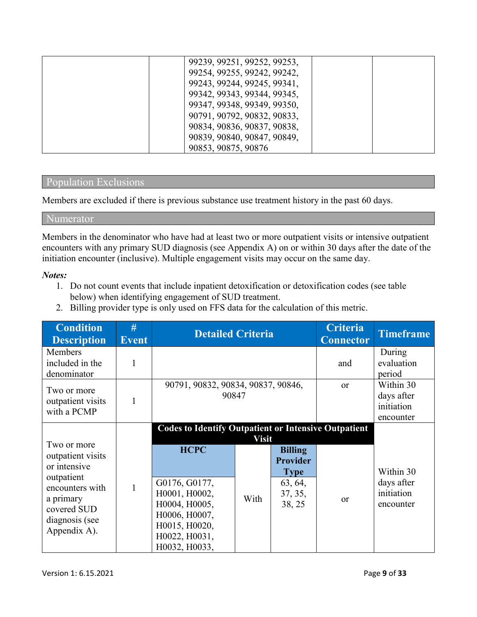| 99239, 99251, 99252, 99253, |  |
|-----------------------------|--|
| 99254, 99255, 99242, 99242, |  |
| 99243, 99244, 99245, 99341, |  |
| 99342, 99343, 99344, 99345, |  |
| 99347, 99348, 99349, 99350, |  |
| 90791, 90792, 90832, 90833, |  |
| 90834, 90836, 90837, 90838, |  |
| 90839, 90840, 90847, 90849, |  |
| 90853, 90875, 90876         |  |

### Population Exclusions

Members are excluded if there is previous substance use treatment history in the past 60 days.

### Numerator

Members in the denominator who have had at least two or more outpatient visits or intensive outpatient encounters with any primary SUD diagnosis (see Appendix A) on or within 30 days after the date of the initiation encounter (inclusive). Multiple engagement visits may occur on the same day.

#### *Notes:*

- 1. Do not count events that include inpatient detoxification or detoxification codes (see table below) when identifying engagement of SUD treatment.
- 2. Billing provider type is only used on FFS data for the calculation of this metric.

| #<br><b>Event</b> | <b>Detailed Criteria</b>                                                                         |               |                                                                                  | <b>Criteria</b><br><b>Connector</b> | <b>Timeframe</b>                                            |
|-------------------|--------------------------------------------------------------------------------------------------|---------------|----------------------------------------------------------------------------------|-------------------------------------|-------------------------------------------------------------|
|                   |                                                                                                  |               |                                                                                  | and                                 | During<br>evaluation<br>period                              |
|                   | 90791, 90832, 90834, 90837, 90846,<br>90847                                                      |               |                                                                                  | <b>or</b>                           | Within 30<br>days after<br>initiation<br>encounter          |
|                   | <b>HCPC</b><br>G0176, G0177,<br>H0001, H0002,<br>H0004, H0005,<br>H0006, H0007,<br>H0015, H0020, | With          | <b>Billing</b><br><b>Provider</b><br><b>Type</b><br>63, 64,<br>37, 35,<br>38, 25 | <b>or</b>                           | Within 30<br>days after<br>initiation<br>encounter          |
|                   |                                                                                                  | H0022, H0031, |                                                                                  | <b>Visit</b><br>H0032, H0033,       | <b>Codes to Identify Outpatient or Intensive Outpatient</b> |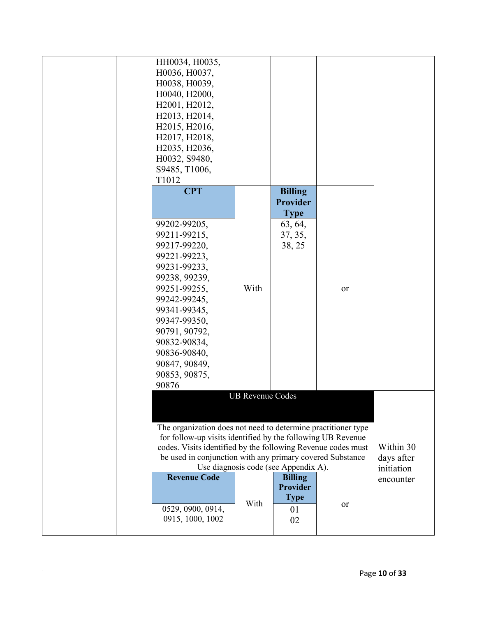| HH0034, H0035,<br>H0036, H0037,<br>H0038, H0039,<br>H0040, H2000,<br>H2001, H2012,<br>H2013, H2014,<br>H2015, H2016,<br>H2017, H2018,<br>H2035, H2036,<br>H0032, S9480,<br>S9485, T1006,<br>T1012<br><b>CPT</b>                                                                                                                                                   |                                                    | <b>Billing</b>                                                 |    |  |
|-------------------------------------------------------------------------------------------------------------------------------------------------------------------------------------------------------------------------------------------------------------------------------------------------------------------------------------------------------------------|----------------------------------------------------|----------------------------------------------------------------|----|--|
| 99202-99205,<br>99211-99215,<br>99217-99220,<br>99221-99223,<br>99231-99233,<br>99238, 99239,<br>99251-99255,<br>99242-99245,<br>99341-99345,<br>99347-99350,<br>90791, 90792,<br>90832-90834,<br>90836-90840,<br>90847, 90849,<br>90853, 90875,<br>90876                                                                                                         | With                                               | <b>Provider</b><br><b>Type</b><br>63, 64,<br>37, 35,<br>38, 25 | or |  |
|                                                                                                                                                                                                                                                                                                                                                                   | <b>UB Revenue Codes</b>                            |                                                                |    |  |
| The organization does not need to determine practitioner type<br>for follow-up visits identified by the following UB Revenue<br>codes. Visits identified by the following Revenue codes must<br>be used in conjunction with any primary covered Substance<br>Use diagnosis code (see Appendix A).<br><b>Revenue Code</b><br>0529, 0900, 0914,<br>0915, 1000, 1002 | Within 30<br>days after<br>initiation<br>encounter |                                                                |    |  |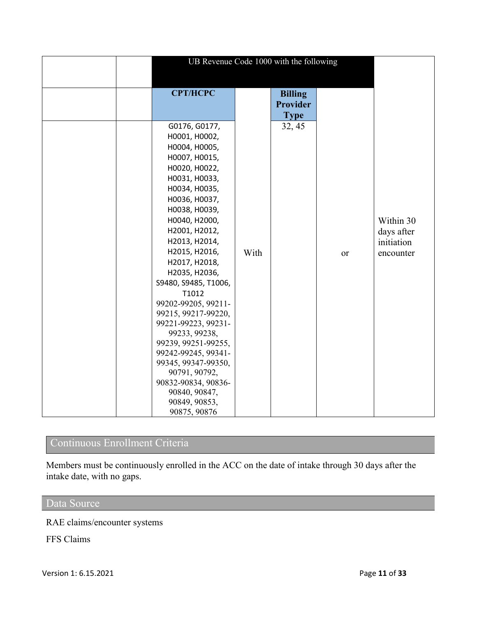| UB Revenue Code 1000 with the following |      |                 |           |            |  |  |  |  |
|-----------------------------------------|------|-----------------|-----------|------------|--|--|--|--|
|                                         |      |                 |           |            |  |  |  |  |
| <b>CPT/HCPC</b>                         |      | <b>Billing</b>  |           |            |  |  |  |  |
|                                         |      | <b>Provider</b> |           |            |  |  |  |  |
|                                         |      | <b>Type</b>     |           |            |  |  |  |  |
| G0176, G0177,                           |      | 32, 45          |           |            |  |  |  |  |
| H0001, H0002,                           |      |                 |           |            |  |  |  |  |
| H0004, H0005,                           |      |                 |           |            |  |  |  |  |
| H0007, H0015,                           |      |                 |           |            |  |  |  |  |
| H0020, H0022,                           |      |                 |           |            |  |  |  |  |
| H0031, H0033,                           |      |                 |           |            |  |  |  |  |
| H0034, H0035,                           |      |                 |           |            |  |  |  |  |
| H0036, H0037,                           |      |                 |           |            |  |  |  |  |
| НООЗ8, НООЗ9,                           |      |                 |           |            |  |  |  |  |
| H0040, H2000,                           |      |                 |           | Within 30  |  |  |  |  |
| H2001, H2012,                           |      |                 |           | days after |  |  |  |  |
| H2013, H2014,                           |      |                 |           | initiation |  |  |  |  |
| H2015, H2016,                           | With |                 | <b>or</b> | encounter  |  |  |  |  |
| H2017, H2018,                           |      |                 |           |            |  |  |  |  |
| H2035, H2036,                           |      |                 |           |            |  |  |  |  |
| S9480, S9485, T1006,                    |      |                 |           |            |  |  |  |  |
| T1012                                   |      |                 |           |            |  |  |  |  |
| 99202-99205, 99211-                     |      |                 |           |            |  |  |  |  |
| 99215, 99217-99220,                     |      |                 |           |            |  |  |  |  |
| 99221-99223, 99231-                     |      |                 |           |            |  |  |  |  |
| 99233, 99238,                           |      |                 |           |            |  |  |  |  |
| 99239, 99251-99255,                     |      |                 |           |            |  |  |  |  |
| 99242-99245, 99341-                     |      |                 |           |            |  |  |  |  |
| 99345, 99347-99350,                     |      |                 |           |            |  |  |  |  |
| 90791, 90792,<br>90832-90834, 90836-    |      |                 |           |            |  |  |  |  |
| 90840, 90847,                           |      |                 |           |            |  |  |  |  |
| 90849, 90853,                           |      |                 |           |            |  |  |  |  |
| 90875, 90876                            |      |                 |           |            |  |  |  |  |

# Continuous Enrollment Criteria

Members must be continuously enrolled in the ACC on the date of intake through 30 days after the intake date, with no gaps.

# Data Source

RAE claims/encounter systems

FFS Claims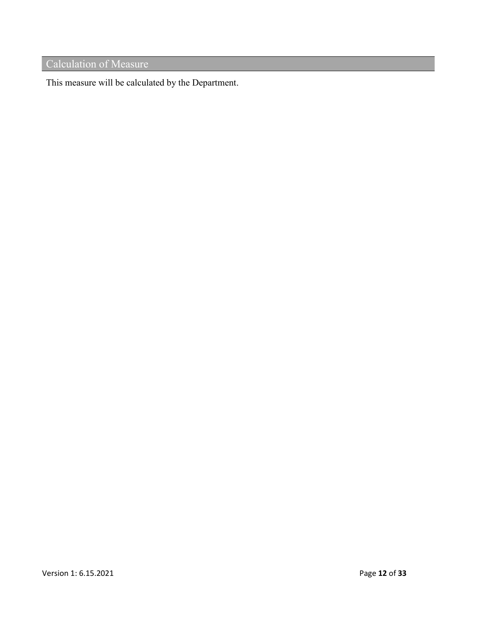# Calculation of Measure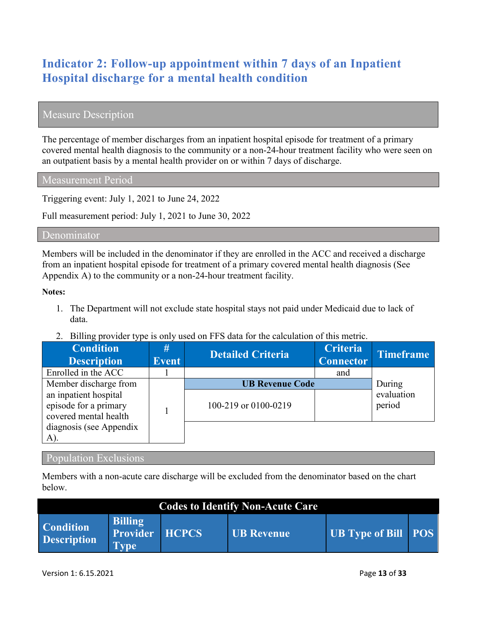# **Indicator 2: Follow-up appointment within 7 days of an Inpatient Hospital discharge for a mental health condition**

### Measure Description

The percentage of member discharges from an inpatient hospital episode for treatment of a primary covered mental health diagnosis to the community or a non-24-hour treatment facility who were seen on an outpatient basis by a mental health provider on or within 7 days of discharge.

Measurement Period

Triggering event: July 1, 2021 to June 24, 2022

Full measurement period: July 1, 2021 to June 30, 2022

#### Denominator

Members will be included in the denominator if they are enrolled in the ACC and received a discharge from an inpatient hospital episode for treatment of a primary covered mental health diagnosis (See Appendix A) to the community or a non-24-hour treatment facility.

#### **Notes:**

- 1. The Department will not exclude state hospital stays not paid under Medicaid due to lack of data.
- 2. Billing provider type is only used on FFS data for the calculation of this metric.

| <b>Condition</b><br><b>Description</b>                                  | #<br><b>Event</b> | <b>Detailed Criteria</b>                       | <b>Criteria</b><br><b>Connector</b> | <b>Timeframe</b>               |
|-------------------------------------------------------------------------|-------------------|------------------------------------------------|-------------------------------------|--------------------------------|
| Enrolled in the ACC                                                     |                   |                                                | and                                 |                                |
| Member discharge from<br>an inpatient hospital<br>episode for a primary |                   | <b>UB Revenue Code</b><br>100-219 or 0100-0219 |                                     | During<br>evaluation<br>period |
| covered mental health<br>diagnosis (see Appendix<br>A).                 |                   |                                                |                                     |                                |

### Population Exclusions

Members with a non-acute care discharge will be excluded from the denominator based on the chart below.

| <b>Codes to Identify Non-Acute Care</b> |                                                  |              |            |                            |  |  |  |  |
|-----------------------------------------|--------------------------------------------------|--------------|------------|----------------------------|--|--|--|--|
| <b>Condition</b><br><b>Description</b>  | <b>Billing</b><br><b>Provider</b><br><b>Type</b> | <b>HCPCS</b> | UB Revenue | <b>UB Type of Bill POS</b> |  |  |  |  |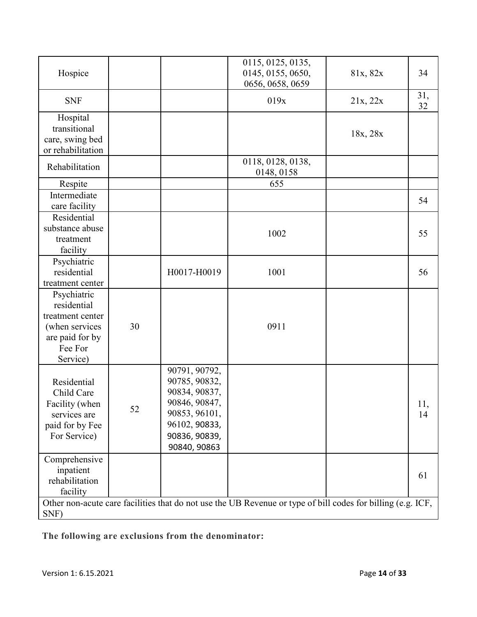| Hospice                                                                                                    |    |                                                                                                                                     | 0115, 0125, 0135,<br>0145, 0155, 0650,<br>0656, 0658, 0659                                                  | 81x, 82x | 34        |
|------------------------------------------------------------------------------------------------------------|----|-------------------------------------------------------------------------------------------------------------------------------------|-------------------------------------------------------------------------------------------------------------|----------|-----------|
| <b>SNF</b>                                                                                                 |    |                                                                                                                                     | 019x                                                                                                        | 21x, 22x | 31,<br>32 |
| Hospital<br>transitional<br>care, swing bed<br>or rehabilitation                                           |    |                                                                                                                                     |                                                                                                             | 18x, 28x |           |
| Rehabilitation                                                                                             |    |                                                                                                                                     | 0118, 0128, 0138,<br>0148, 0158                                                                             |          |           |
| Respite                                                                                                    |    |                                                                                                                                     | 655                                                                                                         |          |           |
| Intermediate<br>care facility                                                                              |    |                                                                                                                                     |                                                                                                             |          | 54        |
| Residential<br>substance abuse<br>treatment<br>facility                                                    |    |                                                                                                                                     | 1002                                                                                                        |          | 55        |
| Psychiatric<br>residential<br>treatment center                                                             |    | H0017-H0019                                                                                                                         | 1001                                                                                                        |          | 56        |
| Psychiatric<br>residential<br>treatment center<br>(when services<br>are paid for by<br>Fee For<br>Service) | 30 |                                                                                                                                     | 0911                                                                                                        |          |           |
| Residential<br>Child Care<br>Facility (when<br>services are<br>paid for by Fee<br>For Service)             | 52 | 90791, 90792,<br>90785, 90832,<br>90834, 90837,<br>90846, 90847,<br>90853, 96101,<br>96102, 90833,<br>90836, 90839,<br>90840, 90863 |                                                                                                             |          | 11,<br>14 |
| Comprehensive<br>inpatient<br>rehabilitation<br>facility                                                   |    |                                                                                                                                     |                                                                                                             |          | 61        |
| SNF)                                                                                                       |    |                                                                                                                                     | Other non-acute care facilities that do not use the UB Revenue or type of bill codes for billing (e.g. ICF, |          |           |

**The following are exclusions from the denominator:**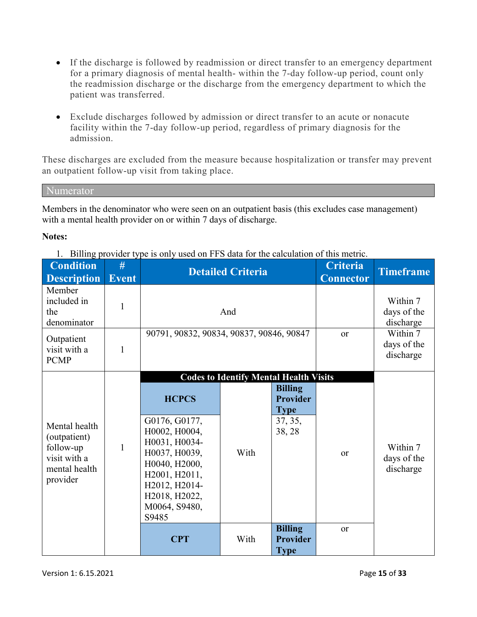- If the discharge is followed by readmission or direct transfer to an emergency department for a primary diagnosis of mental health- within the 7-day follow-up period, count only the readmission discharge or the discharge from the emergency department to which the patient was transferred.
- Exclude discharges followed by admission or direct transfer to an acute or nonacute facility within the 7-day follow-up period, regardless of primary diagnosis for the admission.

These discharges are excluded from the measure because hospitalization or transfer may prevent an outpatient follow-up visit from taking place.

Numerator

Members in the denominator who were seen on an outpatient basis (this excludes case management) with a mental health provider on or within 7 days of discharge.

### **Notes:**

1. Billing provider type is only used on FFS data for the calculation of this metric.

|                                                                                                                                                                                              | And                                                           |                                                                                                            | Within 7<br>days of the<br>discharge |                                      |
|----------------------------------------------------------------------------------------------------------------------------------------------------------------------------------------------|---------------------------------------------------------------|------------------------------------------------------------------------------------------------------------|--------------------------------------|--------------------------------------|
| 90791, 90832, 90834, 90837, 90846, 90847                                                                                                                                                     |                                                               | <sub>or</sub>                                                                                              | Within 7<br>days of the<br>discharge |                                      |
| <b>HCPCS</b><br>G0176, G0177,<br>H0002, H0004,<br>H0031, H0034-<br>H0037, H0039,<br>H0040, H2000,<br>H2001, H2011,<br>H2012, H2014-<br>H2018, H2022,<br>M0064, S9480,<br>S9485<br><b>CPT</b> | <b>Codes to Identify Mental Health Visits</b><br>With<br>With | <b>Billing</b><br><b>Provider</b><br><b>Type</b><br>37, 35,<br>38, 28<br><b>Billing</b><br><b>Provider</b> | or<br><b>or</b>                      | Within 7<br>days of the<br>discharge |
|                                                                                                                                                                                              |                                                               |                                                                                                            |                                      | <b>Type</b>                          |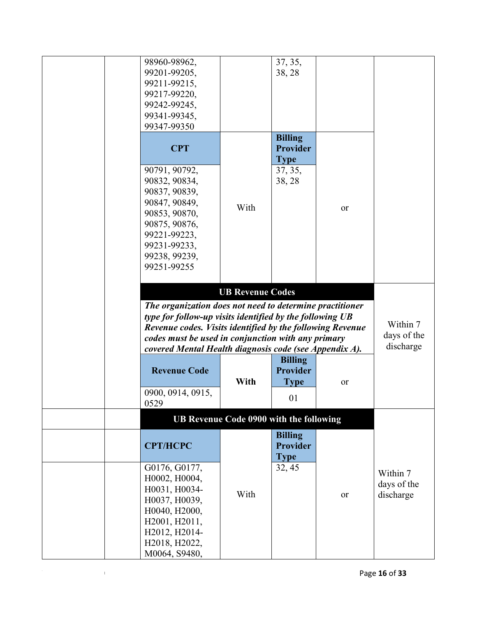| 98960-98962,                                              |                                         | 37, 35,         |    |             |
|-----------------------------------------------------------|-----------------------------------------|-----------------|----|-------------|
| 99201-99205,                                              |                                         | 38, 28          |    |             |
| 99211-99215,                                              |                                         |                 |    |             |
| 99217-99220,                                              |                                         |                 |    |             |
| 99242-99245,                                              |                                         |                 |    |             |
|                                                           |                                         |                 |    |             |
| 99341-99345,                                              |                                         |                 |    |             |
| 99347-99350                                               |                                         |                 |    |             |
|                                                           |                                         | <b>Billing</b>  |    |             |
| <b>CPT</b>                                                |                                         | <b>Provider</b> |    |             |
|                                                           |                                         | <b>Type</b>     |    |             |
| 90791, 90792,                                             |                                         | 37, 35,         |    |             |
| 90832, 90834,                                             |                                         | 38, 28          |    |             |
| 90837, 90839,                                             |                                         |                 |    |             |
|                                                           |                                         |                 |    |             |
| 90847, 90849,                                             | With                                    |                 | or |             |
| 90853, 90870,                                             |                                         |                 |    |             |
| 90875, 90876,                                             |                                         |                 |    |             |
| 99221-99223,                                              |                                         |                 |    |             |
| 99231-99233,                                              |                                         |                 |    |             |
| 99238, 99239,                                             |                                         |                 |    |             |
| 99251-99255                                               |                                         |                 |    |             |
|                                                           |                                         |                 |    |             |
|                                                           | <b>UB Revenue Codes</b>                 |                 |    |             |
|                                                           |                                         |                 |    |             |
| The organization does not need to determine practitioner  |                                         |                 |    |             |
| type for follow-up visits identified by the following UB  |                                         |                 |    |             |
| Revenue codes. Visits identified by the following Revenue |                                         |                 |    | Within 7    |
| codes must be used in conjunction with any primary        |                                         |                 |    | days of the |
| covered Mental Health diagnosis code (see Appendix A).    |                                         |                 |    | discharge   |
|                                                           |                                         | <b>Billing</b>  |    |             |
| <b>Revenue Code</b>                                       |                                         | <b>Provider</b> |    |             |
|                                                           | With                                    | <b>Type</b>     | or |             |
|                                                           |                                         |                 |    |             |
| 0900, 0914, 0915,                                         |                                         | 01              |    |             |
| 0529                                                      |                                         |                 |    |             |
|                                                           | UB Revenue Code 0900 with the following |                 |    |             |
|                                                           |                                         | <b>Billing</b>  |    |             |
| <b>CPT/HCPC</b>                                           |                                         | <b>Provider</b> |    |             |
|                                                           |                                         | <b>Type</b>     |    |             |
|                                                           |                                         |                 |    |             |
| G0176, G0177,                                             |                                         | 32, 45          |    | Within 7    |
| H0002, H0004,                                             |                                         |                 |    | days of the |
| H0031, H0034-                                             | With                                    |                 | or | discharge   |
| H0037, H0039,                                             |                                         |                 |    |             |
| H0040, H2000,                                             |                                         |                 |    |             |
| H2001, H2011,                                             |                                         |                 |    |             |
| H2012, H2014-                                             |                                         |                 |    |             |
| H2018, H2022,                                             |                                         |                 |    |             |
| M0064, S9480,                                             |                                         |                 |    |             |
|                                                           |                                         |                 |    |             |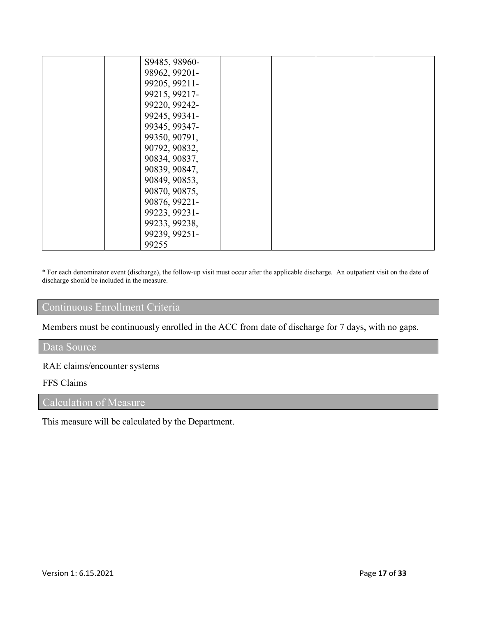| S9485, 98960- |  |  |
|---------------|--|--|
|               |  |  |
| 98962, 99201- |  |  |
| 99205, 99211- |  |  |
| 99215, 99217- |  |  |
| 99220, 99242- |  |  |
| 99245, 99341- |  |  |
| 99345, 99347- |  |  |
| 99350, 90791, |  |  |
| 90792, 90832, |  |  |
| 90834, 90837, |  |  |
| 90839, 90847, |  |  |
| 90849, 90853, |  |  |
| 90870, 90875, |  |  |
| 90876, 99221- |  |  |
| 99223, 99231- |  |  |
| 99233, 99238, |  |  |
| 99239, 99251- |  |  |
| 99255         |  |  |

\* For each denominator event (discharge), the follow-up visit must occur after the applicable discharge. An outpatient visit on the date of discharge should be included in the measure.

### Continuous Enrollment Criteria

Members must be continuously enrolled in the ACC from date of discharge for 7 days, with no gaps.

### Data Source

### RAE claims/encounter systems

### FFS Claims

# Calculation of Measure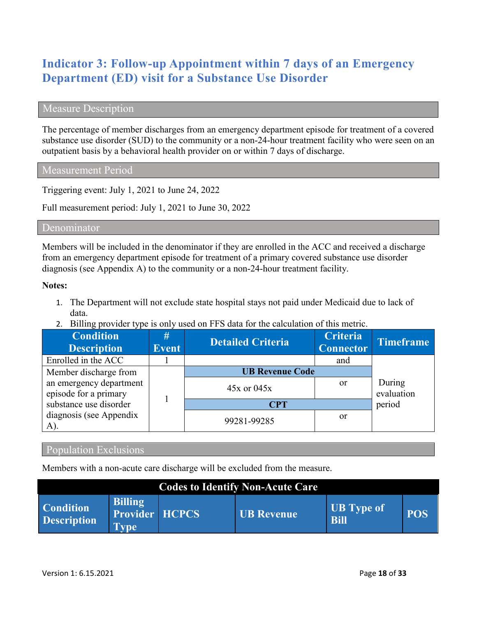# **Indicator 3: Follow-up Appointment within 7 days of an Emergency Department (ED) visit for a Substance Use Disorder**

### Measure Description

The percentage of member discharges from an emergency department episode for treatment of a covered substance use disorder (SUD) to the community or a non-24-hour treatment facility who were seen on an outpatient basis by a behavioral health provider on or within 7 days of discharge.

Measurement Period

Triggering event: July 1, 2021 to June 24, 2022

Full measurement period: July 1, 2021 to June 30, 2022

#### Denominator

Members will be included in the denominator if they are enrolled in the ACC and received a discharge from an emergency department episode for treatment of a primary covered substance use disorder diagnosis (see Appendix A) to the community or a non-24-hour treatment facility.

#### **Notes:**

- 1. The Department will not exclude state hospital stays not paid under Medicaid due to lack of data.
- 2. Billing provider type is only used on FFS data for the calculation of this metric.

| <b>Condition</b><br><b>Description</b>           | #<br><b>Event</b> | <b>Detailed Criteria</b> | <b>Criteria</b><br><b>Connector</b> | <b>Timeframe</b>     |
|--------------------------------------------------|-------------------|--------------------------|-------------------------------------|----------------------|
| Enrolled in the ACC                              |                   |                          | and                                 |                      |
| Member discharge from                            |                   | <b>UB Revenue Code</b>   |                                     |                      |
| an emergency department<br>episode for a primary |                   | $45x$ or $045x$          | <sub>or</sub>                       | During<br>evaluation |
| substance use disorder                           |                   | <b>CPT</b>               |                                     | period               |
| diagnosis (see Appendix<br>A).                   |                   | 99281-99285              | <sub>or</sub>                       |                      |

### Population Exclusions

Members with a non-acute care discharge will be excluded from the measure.

| <b>Codes to Identify Non-Acute Care</b> |                                                 |  |                   |                                  |            |  |  |  |  |
|-----------------------------------------|-------------------------------------------------|--|-------------------|----------------------------------|------------|--|--|--|--|
| <b>Condition</b><br><b>Description</b>  | <b>Billing</b><br>Provider HCPCS<br><b>Type</b> |  | <b>UB</b> Revenue | <b>UB</b> Type of<br><b>Bill</b> | <b>POS</b> |  |  |  |  |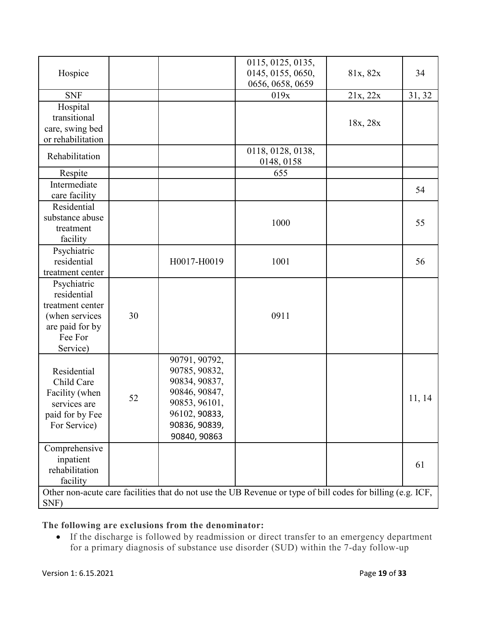|                   |    |               | 0115, 0125, 0135,                                                                                           |          |        |
|-------------------|----|---------------|-------------------------------------------------------------------------------------------------------------|----------|--------|
| Hospice           |    |               | 0145, 0155, 0650,                                                                                           | 81x, 82x | 34     |
|                   |    |               | 0656, 0658, 0659                                                                                            |          |        |
| <b>SNF</b>        |    |               | 019x                                                                                                        | 21x, 22x | 31, 32 |
| Hospital          |    |               |                                                                                                             |          |        |
| transitional      |    |               |                                                                                                             |          |        |
| care, swing bed   |    |               |                                                                                                             | 18x, 28x |        |
| or rehabilitation |    |               |                                                                                                             |          |        |
|                   |    |               | 0118, 0128, 0138,                                                                                           |          |        |
| Rehabilitation    |    |               | 0148, 0158                                                                                                  |          |        |
| Respite           |    |               | 655                                                                                                         |          |        |
| Intermediate      |    |               |                                                                                                             |          |        |
| care facility     |    |               |                                                                                                             |          | 54     |
| Residential       |    |               |                                                                                                             |          |        |
| substance abuse   |    |               |                                                                                                             |          |        |
| treatment         |    |               | 1000                                                                                                        |          | 55     |
| facility          |    |               |                                                                                                             |          |        |
| Psychiatric       |    |               |                                                                                                             |          |        |
| residential       |    | H0017-H0019   | 1001                                                                                                        |          | 56     |
| treatment center  |    |               |                                                                                                             |          |        |
| Psychiatric       |    |               |                                                                                                             |          |        |
| residential       |    |               |                                                                                                             |          |        |
| treatment center  |    |               |                                                                                                             |          |        |
| (when services    | 30 |               | 0911                                                                                                        |          |        |
| are paid for by   |    |               |                                                                                                             |          |        |
| Fee For           |    |               |                                                                                                             |          |        |
| Service)          |    |               |                                                                                                             |          |        |
|                   |    | 90791, 90792, |                                                                                                             |          |        |
| Residential       |    | 90785, 90832, |                                                                                                             |          |        |
| Child Care        |    | 90834, 90837, |                                                                                                             |          |        |
| Facility (when    |    | 90846, 90847, |                                                                                                             |          |        |
| services are      | 52 | 90853, 96101, |                                                                                                             |          | 11, 14 |
| paid for by Fee   |    | 96102, 90833, |                                                                                                             |          |        |
| For Service)      |    | 90836, 90839, |                                                                                                             |          |        |
|                   |    | 90840, 90863  |                                                                                                             |          |        |
| Comprehensive     |    |               |                                                                                                             |          |        |
| inpatient         |    |               |                                                                                                             |          |        |
| rehabilitation    |    |               |                                                                                                             |          | 61     |
| facility          |    |               |                                                                                                             |          |        |
|                   |    |               | Other non-acute care facilities that do not use the UB Revenue or type of bill codes for billing (e.g. ICF, |          |        |
| SNF)              |    |               |                                                                                                             |          |        |

**The following are exclusions from the denominator:**

• If the discharge is followed by readmission or direct transfer to an emergency department for a primary diagnosis of substance use disorder (SUD) within the 7-day follow-up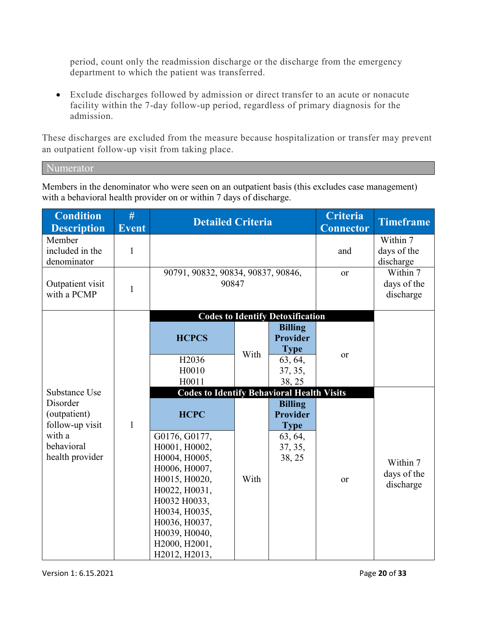period, count only the readmission discharge or the discharge from the emergency department to which the patient was transferred.

• Exclude discharges followed by admission or direct transfer to an acute or nonacute facility within the 7-day follow-up period, regardless of primary diagnosis for the admission.

These discharges are excluded from the measure because hospitalization or transfer may prevent an outpatient follow-up visit from taking place.

Numerator

Members in the denominator who were seen on an outpatient basis (this excludes case management) with a behavioral health provider on or within 7 days of discharge.

| <b>Condition</b><br><b>Description</b>      | #<br><b>Event</b> | <b>Detailed Criteria</b>                          |      |                                                  | Criteria<br><b>Connector</b> | <b>Timeframe</b>                     |
|---------------------------------------------|-------------------|---------------------------------------------------|------|--------------------------------------------------|------------------------------|--------------------------------------|
| Member<br>included in the<br>denominator    | $\mathbf{1}$      |                                                   |      |                                                  | and                          | Within 7<br>days of the<br>discharge |
| Outpatient visit<br>with a PCMP             | 1                 | 90791, 90832, 90834, 90837, 90846,<br>90847       |      |                                                  | <b>or</b>                    | Within 7<br>days of the<br>discharge |
|                                             |                   |                                                   |      | <b>Codes to Identify Detoxification</b>          |                              |                                      |
|                                             |                   | <b>HCPCS</b>                                      | With | <b>Billing</b><br><b>Provider</b><br><b>Type</b> | or                           |                                      |
|                                             |                   | H2036<br>H0010<br>H0011                           |      | 63, 64,<br>37, 35,<br>38, 25                     |                              |                                      |
| Substance Use                               |                   | <b>Codes to Identify Behavioral Health Visits</b> |      |                                                  |                              |                                      |
| Disorder<br>(outpatient)<br>follow-up visit | $\mathbf{1}$      | <b>HCPC</b>                                       |      | <b>Billing</b><br><b>Provider</b><br><b>Type</b> |                              |                                      |
| with a                                      |                   | G0176, G0177,                                     |      | 63, 64,                                          |                              |                                      |
| behavioral<br>health provider               |                   | H0001, H0002,<br>H0004, H0005,                    |      | 37, 35,<br>38, 25                                |                              |                                      |
|                                             |                   | H0006, H0007,                                     |      |                                                  |                              | Within 7                             |
|                                             |                   | H0015, H0020,                                     | With |                                                  | or                           | days of the<br>discharge             |
|                                             |                   | H0022, H0031,                                     |      |                                                  |                              |                                      |
|                                             |                   | H0032 H0033,<br>H0034, H0035,                     |      |                                                  |                              |                                      |
|                                             |                   | H0036, H0037,                                     |      |                                                  |                              |                                      |
|                                             |                   | H0039, H0040,                                     |      |                                                  |                              |                                      |
|                                             |                   | H2000, H2001,<br>H2012, H2013,                    |      |                                                  |                              |                                      |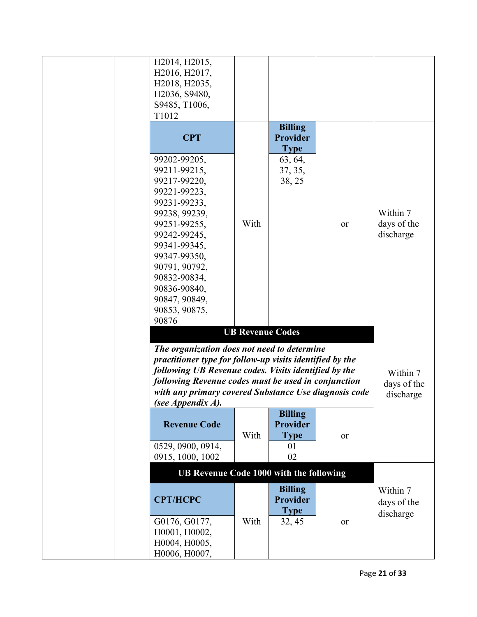| H2014, H2015,<br>H2016, H2017,<br>H2018, H2035,<br>H2036, S9480,<br>S9485, T1006,<br>T1012                                                                                                                                                                |                         |                                                  |    |                                      |
|-----------------------------------------------------------------------------------------------------------------------------------------------------------------------------------------------------------------------------------------------------------|-------------------------|--------------------------------------------------|----|--------------------------------------|
| <b>CPT</b>                                                                                                                                                                                                                                                |                         | <b>Billing</b><br><b>Provider</b><br><b>Type</b> |    |                                      |
| 99202-99205,<br>99211-99215,<br>99217-99220,<br>99221-99223,<br>99231-99233,<br>99238, 99239,<br>99251-99255,<br>99242-99245,<br>99341-99345,<br>99347-99350,<br>90791, 90792,<br>90832-90834,<br>90836-90840,<br>90847, 90849,<br>90853, 90875,<br>90876 | With                    | 63, 64,<br>37, 35,<br>38, 25                     | or | Within 7<br>days of the<br>discharge |
|                                                                                                                                                                                                                                                           | <b>UB Revenue Codes</b> |                                                  |    |                                      |
| The organization does not need to determine                                                                                                                                                                                                               |                         |                                                  |    |                                      |
| practitioner type for follow-up visits identified by the                                                                                                                                                                                                  |                         |                                                  |    |                                      |
| following UB Revenue codes. Visits identified by the                                                                                                                                                                                                      |                         |                                                  |    | Within 7                             |
| following Revenue codes must be used in conjunction<br>with any primary covered Substance Use diagnosis code<br>(see Appendix A).                                                                                                                         |                         |                                                  |    | days of the<br>discharge             |
| <b>Revenue Code</b>                                                                                                                                                                                                                                       | With                    | <b>Billing</b><br>Provider<br><b>Type</b>        | or |                                      |
| 0529, 0900, 0914,<br>0915, 1000, 1002                                                                                                                                                                                                                     |                         | 01<br>02                                         |    |                                      |
| <b>UB Revenue Code 1000 with the following</b>                                                                                                                                                                                                            |                         |                                                  |    |                                      |
|                                                                                                                                                                                                                                                           |                         | <b>Billing</b>                                   |    | Within 7                             |
| <b>CPT/HCPC</b>                                                                                                                                                                                                                                           |                         | <b>Provider</b><br><b>Type</b>                   |    | days of the<br>discharge             |
| G0176, G0177,<br>H0001, H0002,<br>H0004, H0005,<br>H0006, H0007,                                                                                                                                                                                          | With                    | 32, 45                                           | or |                                      |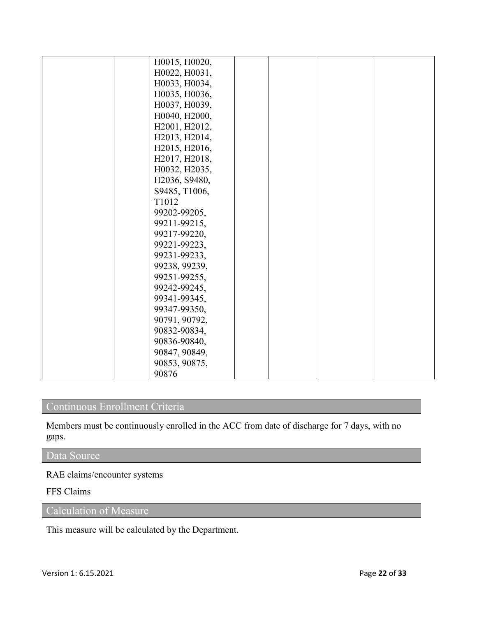| H0015, H0020, |  |  |
|---------------|--|--|
| H0022, H0031, |  |  |
| H0033, H0034, |  |  |
| H0035, H0036, |  |  |
| H0037, H0039, |  |  |
| H0040, H2000, |  |  |
| H2001, H2012, |  |  |
| H2013, H2014, |  |  |
| H2015, H2016, |  |  |
| H2017, H2018, |  |  |
| H0032, H2035, |  |  |
| H2036, S9480, |  |  |
| S9485, T1006, |  |  |
| T1012         |  |  |
| 99202-99205,  |  |  |
| 99211-99215,  |  |  |
| 99217-99220,  |  |  |
| 99221-99223,  |  |  |
| 99231-99233,  |  |  |
| 99238, 99239, |  |  |
| 99251-99255,  |  |  |
| 99242-99245,  |  |  |
| 99341-99345,  |  |  |
| 99347-99350,  |  |  |
| 90791, 90792, |  |  |
| 90832-90834,  |  |  |
| 90836-90840,  |  |  |
| 90847, 90849, |  |  |
| 90853, 90875, |  |  |
| 90876         |  |  |

### Continuous Enrollment Criteria

Members must be continuously enrolled in the ACC from date of discharge for 7 days, with no gaps.

### Data Source

RAE claims/encounter systems

### FFS Claims

Calculation of Measure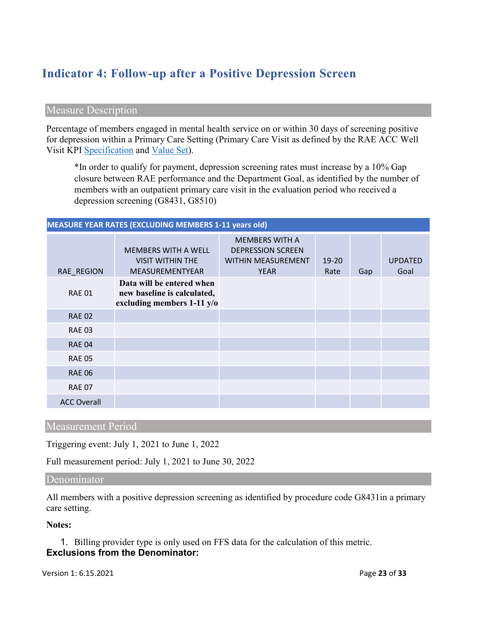# **Indicator 4: Follow-up after a Positive Depression Screen**

#### Measure Description

Percentage of members engaged in mental health service on or within 30 days of screening positive for depression within a Primary Care Setting (Primary Care Visit as defined by the RAE ACC Well Visit KPI [Specification](https://www.colorado.gov/pacific/sites/default/files/Key%20Performance%20Indicator%20Methodology%20Updated%20May%202019.pdf) and [Value Set\)](https://www.colorado.gov/pacific/sites/default/files/ACC%20KPI%20Code%20Value%20Sets%20Updated%20May%202019.xlsx).

\*In order to qualify for payment, depression screening rates must increase by a 10% Gap closure between RAE performance and the Department Goal, as identified by the number of members with an outpatient primary care visit in the evaluation period who received a depression screening (G8431, G8510)

#### **MEASURE YEAR RATES (EXCLUDING MEMBERS 1-11 years old)**

| RAE REGION         | <b>MEMBERS WITH A WELL</b><br><b>VISIT WITHIN THE</b><br>MEASUREMENTYEAR                 | <b>MEMBERS WITH A</b><br><b>DEPRESSION SCREEN</b><br><b>WITHIN MEASUREMENT</b><br><b>YEAR</b> | $19 - 20$<br>Rate | Gap | <b>UPDATED</b><br>Goal |
|--------------------|------------------------------------------------------------------------------------------|-----------------------------------------------------------------------------------------------|-------------------|-----|------------------------|
| <b>RAE 01</b>      | Data will be entered when<br>new baseline is calculated,<br>excluding members $1-11$ y/o |                                                                                               |                   |     |                        |
| <b>RAE 02</b>      |                                                                                          |                                                                                               |                   |     |                        |
| <b>RAE 03</b>      |                                                                                          |                                                                                               |                   |     |                        |
| <b>RAE 04</b>      |                                                                                          |                                                                                               |                   |     |                        |
| <b>RAE 05</b>      |                                                                                          |                                                                                               |                   |     |                        |
| <b>RAE 06</b>      |                                                                                          |                                                                                               |                   |     |                        |
| <b>RAE 07</b>      |                                                                                          |                                                                                               |                   |     |                        |
| <b>ACC Overall</b> |                                                                                          |                                                                                               |                   |     |                        |

### Measurement Period

Triggering event: July 1, 2021 to June 1, 2022

Full measurement period: July 1, 2021 to June 30, 2022

Denominator

All members with a positive depression screening as identified by procedure code G8431in a primary care setting.

**Notes:**

1. Billing provider type is only used on FFS data for the calculation of this metric. **Exclusions from the Denominator:**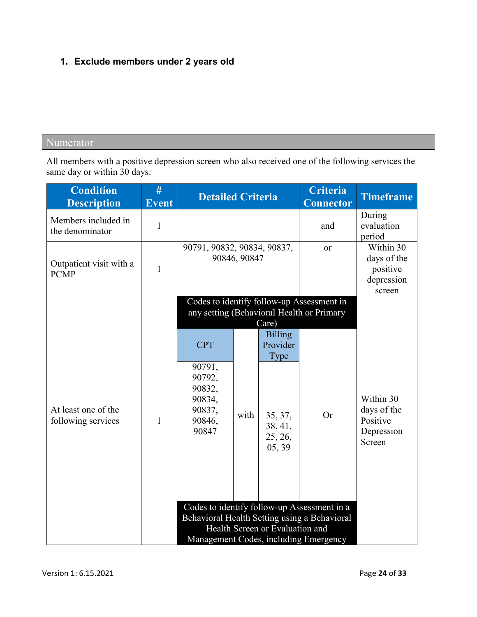# **1. Exclude members under 2 years old**

### Numerator

All members with a positive depression screen who also received one of the following services the same day or within 30 days:

| <b>Condition</b><br><b>Description</b>    | #<br><b>Event</b> | <b>Detailed Criteria</b>                                                        |      |                                                                                        | Criteria<br><b>Connector</b>                                                                                                         | <b>Timeframe</b>                                             |
|-------------------------------------------|-------------------|---------------------------------------------------------------------------------|------|----------------------------------------------------------------------------------------|--------------------------------------------------------------------------------------------------------------------------------------|--------------------------------------------------------------|
| Members included in<br>the denominator    | $\mathbf{1}$      |                                                                                 |      |                                                                                        | and                                                                                                                                  | During<br>evaluation<br>period                               |
| Outpatient visit with a<br><b>PCMP</b>    | $\mathbf{1}$      | 90791, 90832, 90834, 90837,<br>90846, 90847                                     |      |                                                                                        | or                                                                                                                                   | Within 30<br>days of the<br>positive<br>depression<br>screen |
| At least one of the<br>following services | 1                 | <b>CPT</b><br>90791,<br>90792,<br>90832,<br>90834,<br>90837,<br>90846,<br>90847 | with | Care)<br><b>Billing</b><br>Provider<br>Type<br>35, 37,<br>38, 41,<br>25, 26,<br>05, 39 | Codes to identify follow-up Assessment in<br>any setting (Behavioral Health or Primary<br><b>Or</b>                                  | Within 30<br>days of the<br>Positive<br>Depression<br>Screen |
|                                           |                   |                                                                                 |      | Health Screen or Evaluation and                                                        | Codes to identify follow-up Assessment in a<br>Behavioral Health Setting using a Behavioral<br>Management Codes, including Emergency |                                                              |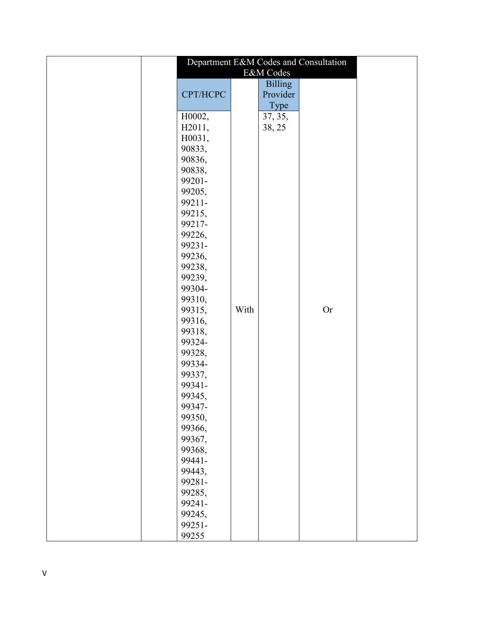|          |      |                | Department E&M Codes and Consultation |  |
|----------|------|----------------|---------------------------------------|--|
|          |      | E&M Codes      |                                       |  |
|          |      | <b>Billing</b> |                                       |  |
| CPT/HCPC |      | Provider       |                                       |  |
|          |      | Type           |                                       |  |
| H0002,   |      | 37, 35,        |                                       |  |
| H2011,   |      | 38, 25         |                                       |  |
| H0031,   |      |                |                                       |  |
| 90833,   |      |                |                                       |  |
| 90836,   |      |                |                                       |  |
| 90838,   |      |                |                                       |  |
| 99201-   |      |                |                                       |  |
| 99205,   |      |                |                                       |  |
| 99211-   |      |                |                                       |  |
| 99215,   |      |                |                                       |  |
| 99217-   |      |                |                                       |  |
| 99226,   |      |                |                                       |  |
| 99231-   |      |                |                                       |  |
| 99236,   |      |                |                                       |  |
| 99238,   |      |                |                                       |  |
| 99239,   |      |                |                                       |  |
| 99304-   |      |                |                                       |  |
| 99310,   |      |                |                                       |  |
| 99315,   | With |                | <b>Or</b>                             |  |
| 99316,   |      |                |                                       |  |
| 99318,   |      |                |                                       |  |
| 99324-   |      |                |                                       |  |
| 99328,   |      |                |                                       |  |
| 99334-   |      |                |                                       |  |
| 99337,   |      |                |                                       |  |
| 99341-   |      |                |                                       |  |
| 99345,   |      |                |                                       |  |
| 99347-   |      |                |                                       |  |
| 99350,   |      |                |                                       |  |
| 99366,   |      |                |                                       |  |
| 99367,   |      |                |                                       |  |
| 99368,   |      |                |                                       |  |
| 99441-   |      |                |                                       |  |
| 99443,   |      |                |                                       |  |
| 99281-   |      |                |                                       |  |
| 99285,   |      |                |                                       |  |
| 99241-   |      |                |                                       |  |
| 99245,   |      |                |                                       |  |
| 99251-   |      |                |                                       |  |
| 99255    |      |                |                                       |  |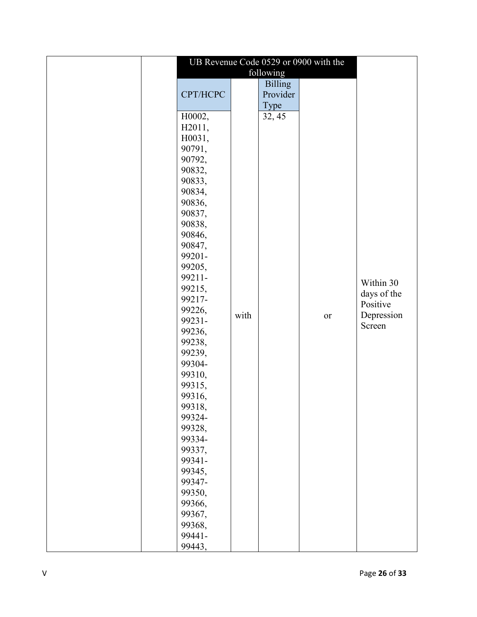|          |      |                | UB Revenue Code 0529 or 0900 with the |             |
|----------|------|----------------|---------------------------------------|-------------|
|          |      | following      |                                       |             |
|          |      | <b>Billing</b> |                                       |             |
| CPT/HCPC |      | Provider       |                                       |             |
|          |      | Type           |                                       |             |
| H0002,   |      | 32, 45         |                                       |             |
| H2011,   |      |                |                                       |             |
| H0031,   |      |                |                                       |             |
| 90791,   |      |                |                                       |             |
| 90792,   |      |                |                                       |             |
| 90832,   |      |                |                                       |             |
| 90833,   |      |                |                                       |             |
| 90834,   |      |                |                                       |             |
| 90836,   |      |                |                                       |             |
| 90837,   |      |                |                                       |             |
| 90838,   |      |                |                                       |             |
| 90846,   |      |                |                                       |             |
| 90847,   |      |                |                                       |             |
| 99201-   |      |                |                                       |             |
| 99205,   |      |                |                                       |             |
| 99211-   |      |                |                                       |             |
| 99215,   |      |                |                                       | Within 30   |
| 99217-   |      |                |                                       | days of the |
| 99226,   |      |                |                                       | Positive    |
| 99231-   | with |                | <b>or</b>                             | Depression  |
| 99236,   |      |                |                                       | Screen      |
| 99238,   |      |                |                                       |             |
| 99239,   |      |                |                                       |             |
| 99304-   |      |                |                                       |             |
| 99310,   |      |                |                                       |             |
| 99315,   |      |                |                                       |             |
| 99316,   |      |                |                                       |             |
| 99318,   |      |                |                                       |             |
| 99324-   |      |                |                                       |             |
| 99328,   |      |                |                                       |             |
| 99334-   |      |                |                                       |             |
| 99337,   |      |                |                                       |             |
| 99341-   |      |                |                                       |             |
| 99345,   |      |                |                                       |             |
| 99347-   |      |                |                                       |             |
| 99350,   |      |                |                                       |             |
| 99366,   |      |                |                                       |             |
| 99367,   |      |                |                                       |             |
| 99368,   |      |                |                                       |             |
| 99441-   |      |                |                                       |             |
| 99443,   |      |                |                                       |             |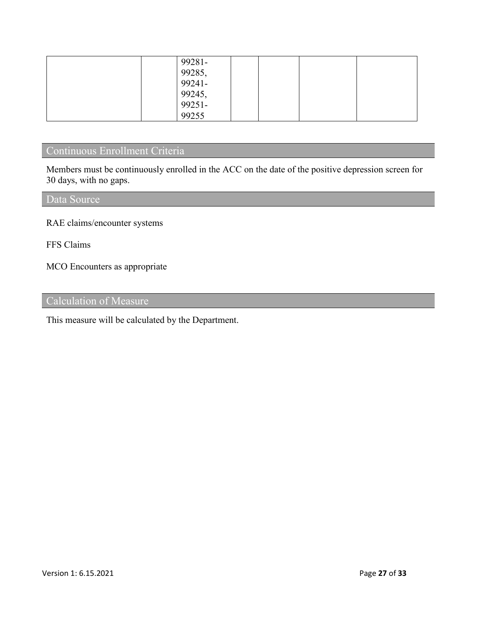| 99281-           |  |  |
|------------------|--|--|
| 99285,<br>99241- |  |  |
|                  |  |  |
|                  |  |  |
| 99245,<br>99251- |  |  |
| 99255            |  |  |

### Continuous Enrollment Criteria

Members must be continuously enrolled in the ACC on the date of the positive depression screen for 30 days, with no gaps.

Data Source

RAE claims/encounter systems

FFS Claims

MCO Encounters as appropriate

Calculation of Measure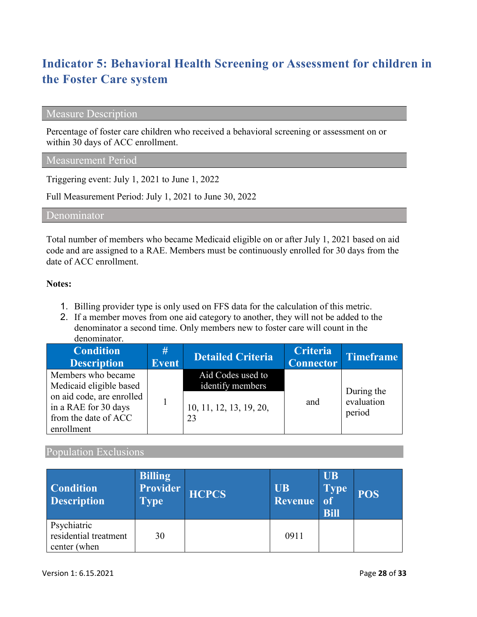# **Indicator 5: Behavioral Health Screening or Assessment for children in the Foster Care system**

### Measure Description

Percentage of foster care children who received a behavioral screening or assessment on or within 30 days of ACC enrollment.

#### Measurement Period

Triggering event: July 1, 2021 to June 1, 2022

Full Measurement Period: July 1, 2021 to June 30, 2022

Denominator

Total number of members who became Medicaid eligible on or after July 1, 2021 based on aid code and are assigned to a RAE. Members must be continuously enrolled for 30 days from the date of ACC enrollment.

#### **Notes:**

- 1. Billing provider type is only used on FFS data for the calculation of this metric.
- 2. If a member moves from one aid category to another, they will not be added to the denominator a second time. Only members new to foster care will count in the denominator.

| <b>Condition</b><br><b>Description</b>                                                  | #<br><b>Event</b> | <b>Detailed Criteria</b>              | <b>Criteria</b><br><b>Connector</b> | Timeframe                          |
|-----------------------------------------------------------------------------------------|-------------------|---------------------------------------|-------------------------------------|------------------------------------|
| Members who became<br>Medicaid eligible based                                           |                   | Aid Codes used to<br>identify members |                                     |                                    |
| on aid code, are enrolled<br>in a RAE for 30 days<br>from the date of ACC<br>enrollment |                   | 10, 11, 12, 13, 19, 20,<br>23         | and                                 | During the<br>evaluation<br>period |

### Population Exclusions

| <b>Condition</b><br><b>Description</b>               | <b>Billing</b><br>Provider<br><b>Type</b> | <b>HCPCS</b> | <b>UB</b><br>Revenue | <b>UB</b><br><b>Type</b><br><sub>of</sub><br><b>Bill</b> | <b>POS</b> |
|------------------------------------------------------|-------------------------------------------|--------------|----------------------|----------------------------------------------------------|------------|
| Psychiatric<br>residential treatment<br>center (when | 30                                        |              | 0911                 |                                                          |            |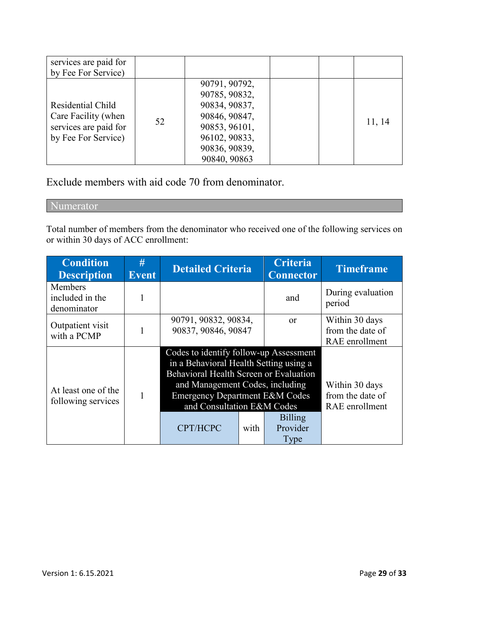| services are paid for<br>by Fee For Service)                                             |    |                                                                                                                                     |  |        |
|------------------------------------------------------------------------------------------|----|-------------------------------------------------------------------------------------------------------------------------------------|--|--------|
| Residential Child<br>Care Facility (when<br>services are paid for<br>by Fee For Service) | 52 | 90791, 90792,<br>90785, 90832,<br>90834, 90837,<br>90846, 90847,<br>90853, 96101,<br>96102, 90833,<br>90836, 90839,<br>90840, 90863 |  | 11, 14 |

Exclude members with aid code 70 from denominator.

Numerator

Total number of members from the denominator who received one of the following services on or within 30 days of ACC enrollment:

| <b>Condition</b><br><b>Description</b>    | #<br><b>Event</b> | <b>Detailed Criteria</b>                                                                                                                                                                                                                             |      | <b>Criteria</b><br><b>Connector</b> | <b>Timeframe</b>                                     |
|-------------------------------------------|-------------------|------------------------------------------------------------------------------------------------------------------------------------------------------------------------------------------------------------------------------------------------------|------|-------------------------------------|------------------------------------------------------|
| Members<br>included in the<br>denominator |                   |                                                                                                                                                                                                                                                      |      | and                                 | During evaluation<br>period                          |
| Outpatient visit<br>with a PCMP           |                   | 90791, 90832, 90834,<br>90837, 90846, 90847                                                                                                                                                                                                          |      | <sub>or</sub>                       | Within 30 days<br>from the date of<br>RAE enrollment |
| At least one of the<br>following services |                   | Codes to identify follow-up Assessment<br>in a Behavioral Health Setting using a<br>Behavioral Health Screen or Evaluation<br>and Management Codes, including<br><b>Emergency Department E&amp;M Codes</b><br>and Consultation E&M Codes<br>CPT/HCPC | with | <b>Billing</b><br>Provider<br>Type  | Within 30 days<br>from the date of<br>RAE enrollment |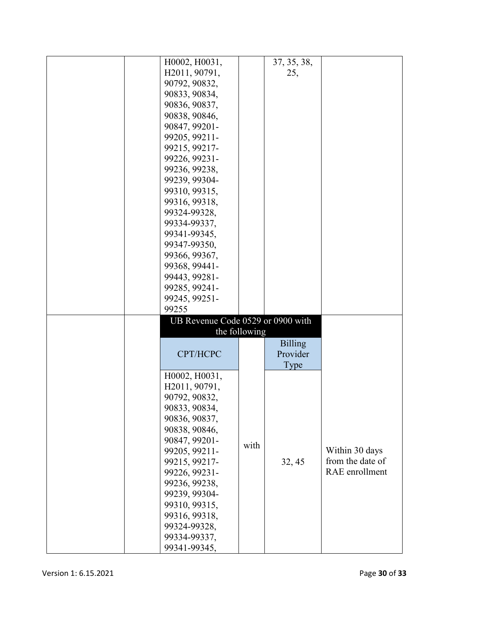| H0002, H0031,                     |               | 37, 35, 38,    |                  |
|-----------------------------------|---------------|----------------|------------------|
| H2011, 90791,                     |               | 25,            |                  |
| 90792, 90832,                     |               |                |                  |
|                                   |               |                |                  |
| 90833, 90834,                     |               |                |                  |
| 90836, 90837,                     |               |                |                  |
| 90838, 90846,                     |               |                |                  |
| 90847, 99201-                     |               |                |                  |
|                                   |               |                |                  |
| 99205, 99211-                     |               |                |                  |
| 99215, 99217-                     |               |                |                  |
| 99226, 99231-                     |               |                |                  |
| 99236, 99238,                     |               |                |                  |
| 99239, 99304-                     |               |                |                  |
|                                   |               |                |                  |
| 99310, 99315,                     |               |                |                  |
| 99316, 99318,                     |               |                |                  |
| 99324-99328,                      |               |                |                  |
| 99334-99337,                      |               |                |                  |
|                                   |               |                |                  |
| 99341-99345,                      |               |                |                  |
| 99347-99350,                      |               |                |                  |
| 99366, 99367,                     |               |                |                  |
| 99368, 99441-                     |               |                |                  |
| 99443, 99281-                     |               |                |                  |
|                                   |               |                |                  |
| 99285, 99241-                     |               |                |                  |
| 99245, 99251-                     |               |                |                  |
| 99255                             |               |                |                  |
| UB Revenue Code 0529 or 0900 with |               |                |                  |
|                                   | the following |                |                  |
|                                   |               |                |                  |
|                                   |               | <b>Billing</b> |                  |
| CPT/HCPC                          |               | Provider       |                  |
|                                   |               | Type           |                  |
| H0002, H0031,                     |               |                |                  |
|                                   |               |                |                  |
| H2011, 90791,                     |               |                |                  |
| 90792, 90832,                     |               |                |                  |
| 90833, 90834,                     |               |                |                  |
| 90836, 90837,                     |               |                |                  |
| 90838, 90846,                     |               |                |                  |
|                                   |               |                |                  |
| 90847, 99201-                     | with          |                |                  |
| 99205, 99211-                     |               |                | Within 30 days   |
| 99215, 99217-                     |               | 32, 45         | from the date of |
| 99226, 99231-                     |               |                | RAE enrollment   |
| 99236, 99238,                     |               |                |                  |
| 99239, 99304-                     |               |                |                  |
|                                   |               |                |                  |
| 99310, 99315,                     |               |                |                  |
| 99316, 99318,                     |               |                |                  |
| 99324-99328,                      |               |                |                  |
| 99334-99337,                      |               |                |                  |
| 99341-99345,                      |               |                |                  |
|                                   |               |                |                  |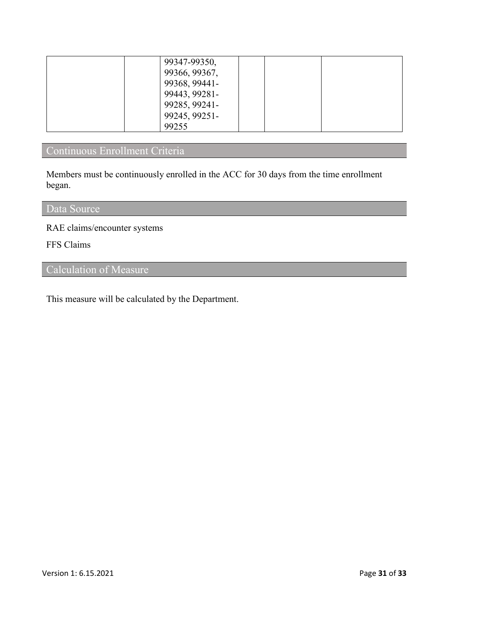| 99347-99350,  |  |  |
|---------------|--|--|
|               |  |  |
| 99366, 99367, |  |  |
| 99368, 99441- |  |  |
| 99443, 99281- |  |  |
| 99285, 99241- |  |  |
| 99245, 99251- |  |  |
| 99255         |  |  |

# Continuous Enrollment Criteria

Members must be continuously enrolled in the ACC for 30 days from the time enrollment began.

### Data Source

RAE claims/encounter systems

FFS Claims

Calculation of Measure